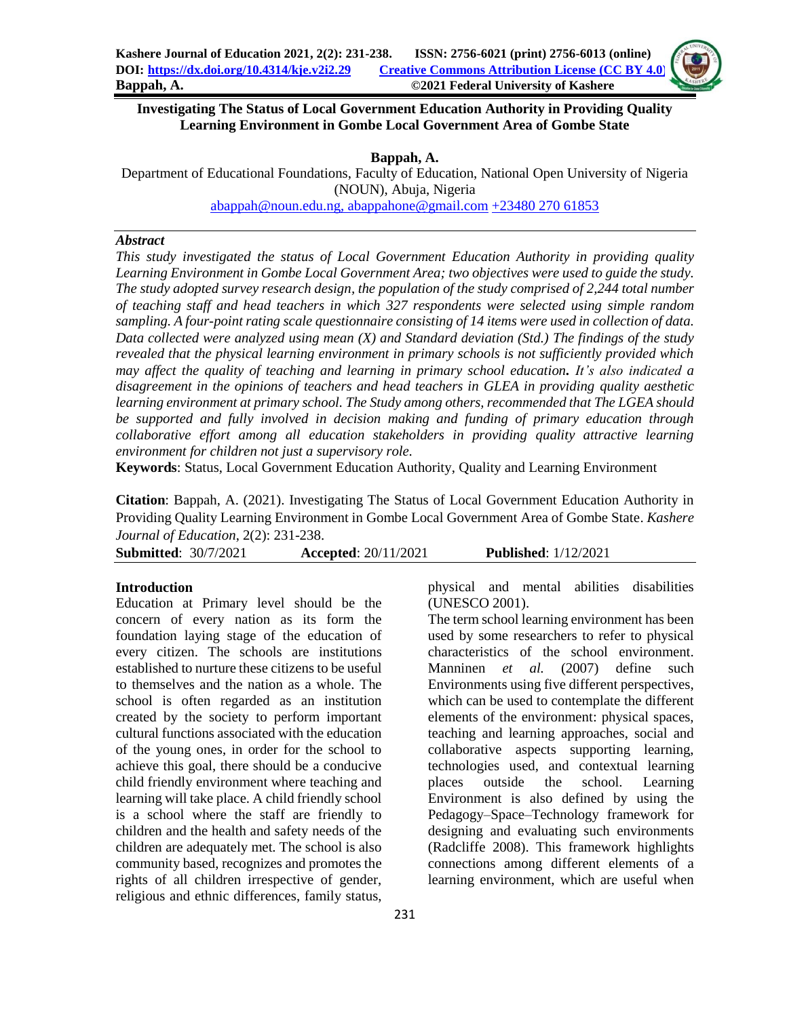

# **Investigating The Status of Local Government Education Authority in Providing Quality Learning Environment in Gombe Local Government Area of Gombe State**

**Bappah, A.**

Department of Educational Foundations, Faculty of Education, National Open University of Nigeria (NOUN), Abuja, Nigeria

[abappah@noun.edu.ng,](mailto:abappah@noun.edu.ng) [abappahone@gmail.com](mailto:abappahone@gmail.com) +23480 270 61853

## *Abstract*

*This study investigated the status of Local Government Education Authority in providing quality Learning Environment in Gombe Local Government Area; two objectives were used to guide the study. The study adopted survey research design, the population of the study comprised of 2,244 total number of teaching staff and head teachers in which 327 respondents were selected using simple random sampling. A four-point rating scale questionnaire consisting of 14 items were used in collection of data. Data collected were analyzed using mean (X) and Standard deviation (Std.) The findings of the study revealed that the physical learning environment in primary schools is not sufficiently provided which may affect the quality of teaching and learning in primary school education. It's also indicated a disagreement in the opinions of teachers and head teachers in GLEA in providing quality aesthetic learning environment at primary school. The Study among others, recommended that The LGEA should be supported and fully involved in decision making and funding of primary education through collaborative effort among all education stakeholders in providing quality attractive learning environment for children not just a supervisory role.*

**Keywords**: Status, Local Government Education Authority, Quality and Learning Environment

**Citation**: Bappah, A. (2021). Investigating The Status of Local Government Education Authority in Providing Quality Learning Environment in Gombe Local Government Area of Gombe State. *Kashere Journal of Education*, 2(2): 231-238.

**Submitted**: 30/7/2021 **Accepted**: 20/11/2021 **Published**: 1/12/2021

### **Introduction**

Education at Primary level should be the concern of every nation as its form the foundation laying stage of the education of every citizen. The schools are institutions established to nurture these citizens to be useful to themselves and the nation as a whole. The school is often regarded as an institution created by the society to perform important cultural functions associated with the education of the young ones, in order for the school to achieve this goal, there should be a conducive child friendly environment where teaching and learning will take place. A child friendly school is a school where the staff are friendly to children and the health and safety needs of the children are adequately met. The school is also community based, recognizes and promotes the rights of all children irrespective of gender, religious and ethnic differences, family status,

physical and mental abilities disabilities (UNESCO 2001).

The term school learning environment has been used by some researchers to refer to physical characteristics of the school environment. Manninen *et al.* (2007) define such Environments using five different perspectives, which can be used to contemplate the different elements of the environment: physical spaces, teaching and learning approaches, social and collaborative aspects supporting learning, technologies used, and contextual learning places outside the school. Learning Environment is also defined by using the Pedagogy–Space–Technology framework for designing and evaluating such environments (Radcliffe 2008). This framework highlights connections among different elements of a learning environment, which are useful when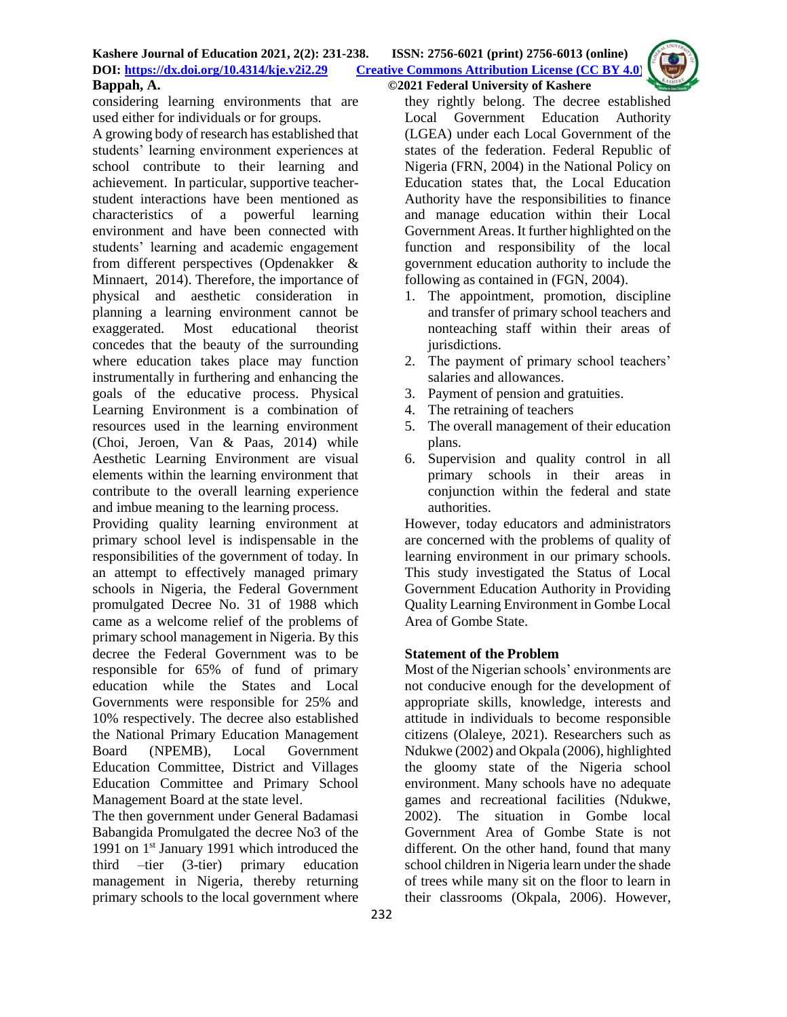considering learning environments that are used either for individuals or for groups.

A growing body of research has established that students' learning environment experiences at school contribute to their learning and achievement. In particular, supportive teacherstudent interactions have been mentioned as characteristics of a powerful learning environment and have been connected with students' learning and academic engagement from different perspectives (Opdenakker & Minnaert, 2014). Therefore, the importance of physical and aesthetic consideration in planning a learning environment cannot be exaggerated. Most educational theorist concedes that the beauty of the surrounding where education takes place may function instrumentally in furthering and enhancing the goals of the educative process. Physical Learning Environment is a combination of resources used in the learning environment (Choi, Jeroen, Van & Paas, 2014) while Aesthetic Learning Environment are visual elements within the learning environment that contribute to the overall learning experience and imbue meaning to the learning process.

Providing quality learning environment at primary school level is indispensable in the responsibilities of the government of today. In an attempt to effectively managed primary schools in Nigeria, the Federal Government promulgated Decree No. 31 of 1988 which came as a welcome relief of the problems of primary school management in Nigeria. By this decree the Federal Government was to be responsible for 65% of fund of primary education while the States and Local Governments were responsible for 25% and 10% respectively. The decree also established the National Primary Education Management Board (NPEMB), Local Government Education Committee, District and Villages Education Committee and Primary School Management Board at the state level.

The then government under General Badamasi Babangida Promulgated the decree No3 of the 1991 on 1<sup>st</sup> January 1991 which introduced the third –tier (3-tier) primary education management in Nigeria, thereby returning primary schools to the local government where they rightly belong. The decree established Local Government Education Authority (LGEA) under each Local Government of the states of the federation. Federal Republic of Nigeria (FRN, 2004) in the National Policy on Education states that, the Local Education Authority have the responsibilities to finance and manage education within their Local Government Areas. It further highlighted on the function and responsibility of the local government education authority to include the following as contained in (FGN, 2004).

- 1. The appointment, promotion, discipline and transfer of primary school teachers and nonteaching staff within their areas of jurisdictions.
- 2. The payment of primary school teachers' salaries and allowances.
- 3. Payment of pension and gratuities.
- 4. The retraining of teachers
- 5. The overall management of their education plans.
- 6. Supervision and quality control in all primary schools in their areas in conjunction within the federal and state authorities.

However, today educators and administrators are concerned with the problems of quality of learning environment in our primary schools. This study investigated the Status of Local Government Education Authority in Providing Quality Learning Environment in Gombe Local Area of Gombe State.

# **Statement of the Problem**

Most of the Nigerian schools' environments are not conducive enough for the development of appropriate skills, knowledge, interests and attitude in individuals to become responsible citizens (Olaleye, 2021). Researchers such as Ndukwe (2002) and Okpala (2006), highlighted the gloomy state of the Nigeria school environment. Many schools have no adequate games and recreational facilities (Ndukwe, 2002). The situation in Gombe local Government Area of Gombe State is not different. On the other hand, found that many school children in Nigeria learn under the shade of trees while many sit on the floor to learn in their classrooms (Okpala, 2006). However,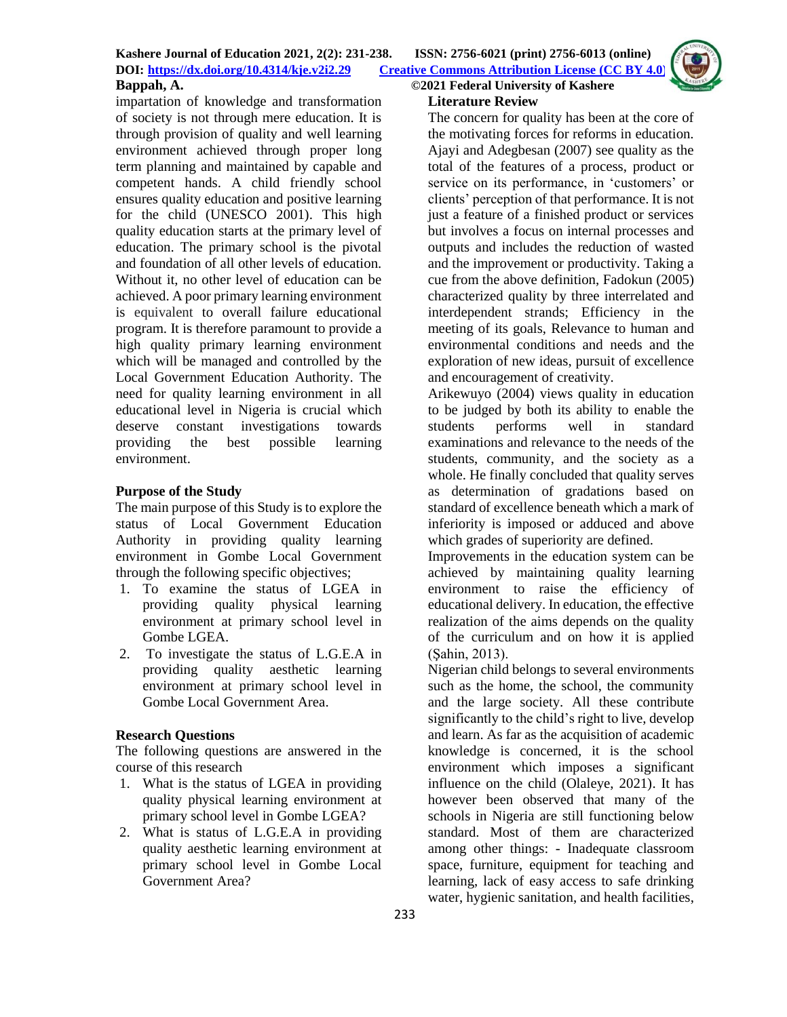

# **Literature Review**

impartation of knowledge and transformation of society is not through mere education. It is through provision of quality and well learning environment achieved through proper long term planning and maintained by capable and competent hands. A child friendly school ensures quality education and positive learning for the child (UNESCO 2001). This high quality education starts at the primary level of education. The primary school is the pivotal and foundation of all other levels of education. Without it, no other level of education can be achieved. A poor primary learning environment is equivalent to overall failure educational program. It is therefore paramount to provide a high quality primary learning environment which will be managed and controlled by the Local Government Education Authority. The need for quality learning environment in all educational level in Nigeria is crucial which deserve constant investigations towards providing the best possible learning environment.

# **Purpose of the Study**

The main purpose of this Study is to explore the status of Local Government Education Authority in providing quality learning environment in Gombe Local Government through the following specific objectives;

- 1. To examine the status of LGEA in providing quality physical learning environment at primary school level in Gombe LGEA.
- 2. To investigate the status of L.G.E.A in providing quality aesthetic learning environment at primary school level in Gombe Local Government Area.

# **Research Questions**

The following questions are answered in the course of this research

- 1. What is the status of LGEA in providing quality physical learning environment at primary school level in Gombe LGEA?
- 2. What is status of L.G.E.A in providing quality aesthetic learning environment at primary school level in Gombe Local Government Area?

The concern for quality has been at the core of the motivating forces for reforms in education. Ajayi and Adegbesan (2007) see quality as the total of the features of a process, product or service on its performance, in 'customers' or clients' perception of that performance. It is not just a feature of a finished product or services but involves a focus on internal processes and outputs and includes the reduction of wasted and the improvement or productivity. Taking a cue from the above definition, Fadokun (2005) characterized quality by three interrelated and interdependent strands; Efficiency in the meeting of its goals, Relevance to human and environmental conditions and needs and the exploration of new ideas, pursuit of excellence and encouragement of creativity.

Arikewuyo (2004) views quality in education to be judged by both its ability to enable the students performs well in standard examinations and relevance to the needs of the students, community, and the society as a whole. He finally concluded that quality serves as determination of gradations based on standard of excellence beneath which a mark of inferiority is imposed or adduced and above which grades of superiority are defined.

Improvements in the education system can be achieved by maintaining quality learning environment to raise the efficiency of educational delivery. In education, the effective realization of the aims depends on the quality of the curriculum and on how it is applied (Şahin, 2013).

Nigerian child belongs to several environments such as the home, the school, the community and the large society. All these contribute significantly to the child's right to live, develop and learn. As far as the acquisition of academic knowledge is concerned, it is the school environment which imposes a significant influence on the child (Olaleye, 2021). It has however been observed that many of the schools in Nigeria are still functioning below standard. Most of them are characterized among other things: - Inadequate classroom space, furniture, equipment for teaching and learning, lack of easy access to safe drinking water, hygienic sanitation, and health facilities,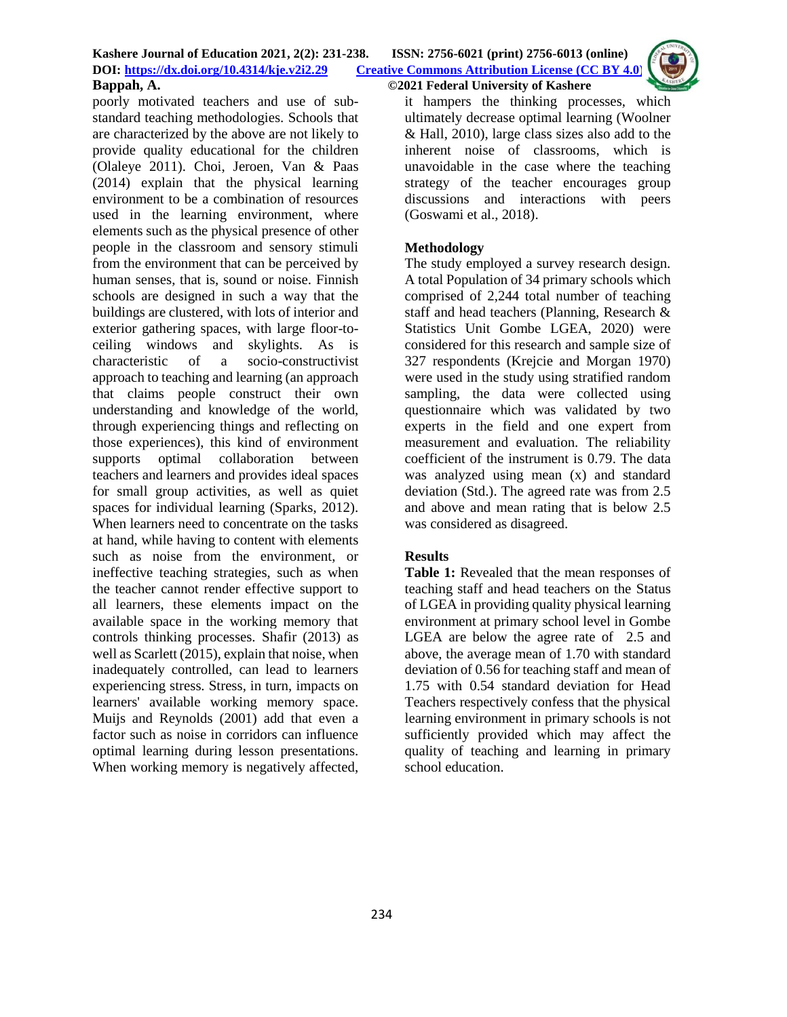

poorly motivated teachers and use of substandard teaching methodologies. Schools that are characterized by the above are not likely to provide quality educational for the children (Olaleye 2011). Choi, Jeroen, Van & Paas (2014) explain that the physical learning environment to be a combination of resources used in the learning environment, where elements such as the physical presence of other people in the classroom and sensory stimuli from the environment that can be perceived by human senses, that is, sound or noise. Finnish schools are designed in such a way that the buildings are clustered, with lots of interior and exterior gathering spaces, with large floor-toceiling windows and skylights. As is characteristic of a socio-constructivist approach to teaching and learning (an approach that claims people construct their own understanding and knowledge of the world, through experiencing things and reflecting on those experiences), this kind of environment supports optimal collaboration between teachers and learners and provides ideal spaces for small group activities, as well as quiet spaces for individual learning (Sparks, 2012). When learners need to concentrate on the tasks at hand, while having to content with elements such as noise from the environment, or ineffective teaching strategies, such as when the teacher cannot render effective support to all learners, these elements impact on the available space in the working memory that controls thinking processes. Shafir (2013) as well as Scarlett (2015), explain that noise, when inadequately controlled, can lead to learners experiencing stress. Stress, in turn, impacts on learners' available working memory space. Muijs and Reynolds (2001) add that even a factor such as noise in corridors can influence optimal learning during lesson presentations. When working memory is negatively affected,

it hampers the thinking processes, which ultimately decrease optimal learning (Woolner & Hall, 2010), large class sizes also add to the inherent noise of classrooms, which is unavoidable in the case where the teaching strategy of the teacher encourages group discussions and interactions with peers (Goswami et al., 2018).

## **Methodology**

The study employed a survey research design. A total Population of 34 primary schools which comprised of 2,244 total number of teaching staff and head teachers (Planning, Research & Statistics Unit Gombe LGEA, 2020) were considered for this research and sample size of 327 respondents (Krejcie and Morgan 1970) were used in the study using stratified random sampling, the data were collected using questionnaire which was validated by two experts in the field and one expert from measurement and evaluation. The reliability coefficient of the instrument is 0.79. The data was analyzed using mean (x) and standard deviation (Std.). The agreed rate was from 2.5 and above and mean rating that is below 2.5 was considered as disagreed.

## **Results**

**Table 1:** Revealed that the mean responses of teaching staff and head teachers on the Status of LGEA in providing quality physical learning environment at primary school level in Gombe LGEA are below the agree rate of 2.5 and above, the average mean of 1.70 with standard deviation of 0.56 for teaching staff and mean of 1.75 with 0.54 standard deviation for Head Teachers respectively confess that the physical learning environment in primary schools is not sufficiently provided which may affect the quality of teaching and learning in primary school education.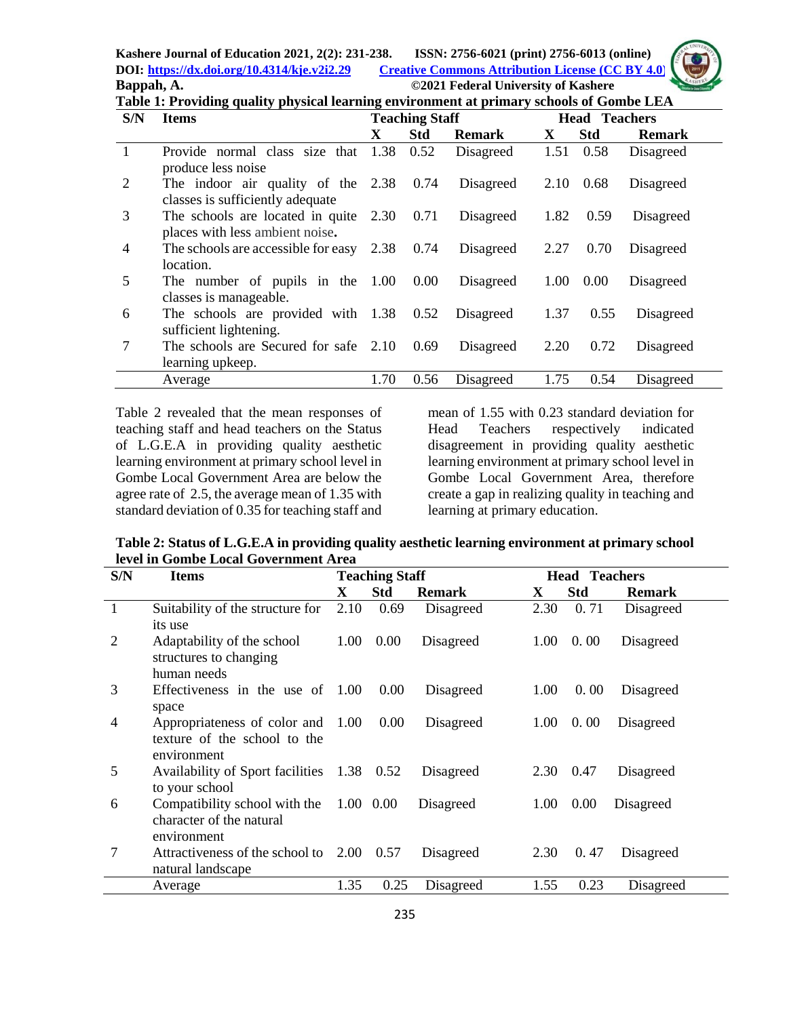**Kashere Journal of Education 2021, 2(2): 231-238. ISSN: 2756-6021 (print) 2756-6013 (online) DOI: <https://dx.doi.org/10.4314/kje.v2i2.29> [Creative Commons Attribution License](http://creativecommons.org/licenses/by/4.0/) (CC BY 4.0) Bappah, A. ©2021 Federal University of Kashere**



| Table 1: Providing quality physical learning environment at primary schools of Gombe LEA |                    |  |  |  |                       |  |                      |                                                    |              |      |                     |  |
|------------------------------------------------------------------------------------------|--------------------|--|--|--|-----------------------|--|----------------------|----------------------------------------------------|--------------|------|---------------------|--|
| S/N                                                                                      | <b>Items</b>       |  |  |  | <b>Teaching Staff</b> |  | <b>Head Teachers</b> |                                                    |              |      |                     |  |
|                                                                                          |                    |  |  |  |                       |  | <b>Std</b>           | <b>Remark</b>                                      | $\mathbf{X}$ | -Std | <b>Remark</b>       |  |
|                                                                                          |                    |  |  |  |                       |  |                      | Provide normal class size that 1.38 0.52 Disagreed |              |      | 1.51 0.58 Disagreed |  |
|                                                                                          | produce less noise |  |  |  |                       |  |                      |                                                    |              |      |                     |  |

|                | produce less noise                                                        |      |      |                |      |      |           |
|----------------|---------------------------------------------------------------------------|------|------|----------------|------|------|-----------|
| 2              | The indoor air quality of the $2.38$ 0.74 Disagreed 2.10 0.68             |      |      |                |      |      | Disagreed |
|                | classes is sufficiently adequate                                          |      |      |                |      |      |           |
| 3              | The schools are located in quite 2.30 0.71 Disagreed 1.82 0.59            |      |      |                |      |      | Disagreed |
|                | places with less ambient noise.                                           |      |      |                |      |      |           |
| $\overline{4}$ | The schools are accessible for easy $2.38$ 0.74                           |      |      | Disagreed 2.27 |      | 0.70 | Disagreed |
|                | location.                                                                 |      |      |                |      |      |           |
| 5              | The number of pupils in the $1.00 \quad 0.00$ Disagreed $1.00 \quad 0.00$ |      |      |                |      |      | Disagreed |
|                | classes is manageable.                                                    |      |      |                |      |      |           |
| 6              | The schools are provided with 1.38 0.52 Disagreed 1.37                    |      |      |                |      | 0.55 | Disagreed |
|                | sufficient lightening.                                                    |      |      |                |      |      |           |
|                | The schools are Secured for safe 2.10                                     |      | 0.69 | Disagreed 2.20 |      | 0.72 | Disagreed |
|                | learning upkeep.                                                          |      |      |                |      |      |           |
|                | Average                                                                   | 1.70 | 0.56 | Disagreed      | 1.75 | 0.54 | Disagreed |

Table 2 revealed that the mean responses of teaching staff and head teachers on the Status of L.G.E.A in providing quality aesthetic learning environment at primary school level in Gombe Local Government Area are below the agree rate of 2.5, the average mean of 1.35 with standard deviation of 0.35 for teaching staff and mean of 1.55 with 0.23 standard deviation for Head Teachers respectively indicated disagreement in providing quality aesthetic learning environment at primary school level in Gombe Local Government Area, therefore create a gap in realizing quality in teaching and learning at primary education.

**Table 2: Status of L.G.E.A in providing quality aesthetic learning environment at primary school level in Gombe Local Government Area**

| S/N | <b>Items</b>                               | <b>Teaching Staff</b> |            |               | <b>Head Teachers</b> |            |               |  |
|-----|--------------------------------------------|-----------------------|------------|---------------|----------------------|------------|---------------|--|
|     |                                            | X                     | <b>Std</b> | <b>Remark</b> | X                    | <b>Std</b> | <b>Remark</b> |  |
|     | Suitability of the structure for           | 2.10                  | 0.69       | Disagreed     | 2.30                 | 0.71       | Disagreed     |  |
|     | its use                                    |                       |            |               |                      |            |               |  |
| 2   | Adaptability of the school                 | 1.00                  | 0.00       | Disagreed     | 1.00                 | 0.00       | Disagreed     |  |
|     | structures to changing                     |                       |            |               |                      |            |               |  |
|     | human needs                                |                       |            |               |                      |            |               |  |
| 3   | Effectiveness in the use of $1.00$         |                       | 0.00       | Disagreed     | 1.00                 | 0.00       | Disagreed     |  |
|     | space                                      |                       |            |               |                      |            |               |  |
| 4   | Appropriateness of color and 1.00          |                       | 0.00       | Disagreed     | 1.00                 | 0.00       | Disagreed     |  |
|     | texture of the school to the               |                       |            |               |                      |            |               |  |
|     | environment                                |                       |            |               |                      |            |               |  |
| 5   | Availability of Sport facilities 1.38 0.52 |                       |            | Disagreed     | 2.30                 | 0.47       | Disagreed     |  |
|     | to your school                             |                       |            |               |                      |            |               |  |
| 6   | Compatibility school with the              |                       | 1.00 0.00  | Disagreed     | 1.00                 | 0.00       | Disagreed     |  |
|     | character of the natural                   |                       |            |               |                      |            |               |  |
|     | environment                                |                       |            |               |                      |            |               |  |
| 7   | Attractiveness of the school to 2.00       |                       | 0.57       | Disagreed     | 2.30                 | 0.47       | Disagreed     |  |
|     | natural landscape                          |                       |            |               |                      |            |               |  |
|     | Average                                    | 1.35                  | 0.25       | Disagreed     | 1.55                 | 0.23       | Disagreed     |  |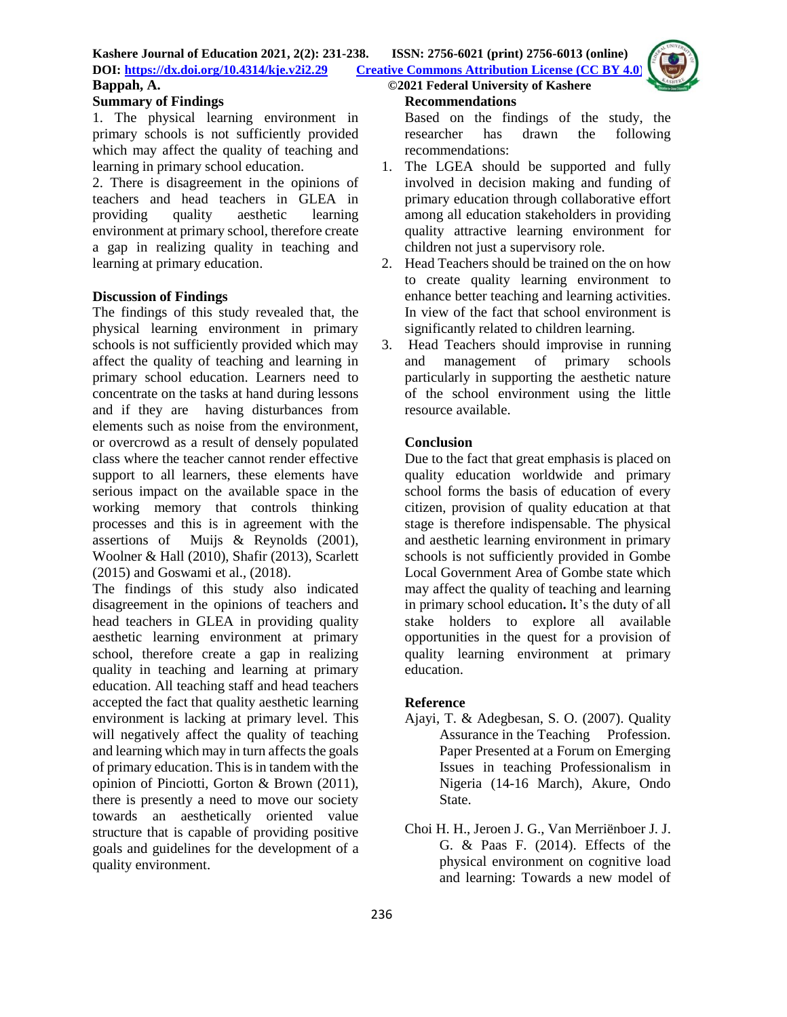

## **Summary of Findings**

1. The physical learning environment in primary schools is not sufficiently provided which may affect the quality of teaching and learning in primary school education.

2. There is disagreement in the opinions of teachers and head teachers in GLEA in providing quality aesthetic learning environment at primary school, therefore create a gap in realizing quality in teaching and learning at primary education.

## **Discussion of Findings**

The findings of this study revealed that, the physical learning environment in primary schools is not sufficiently provided which may affect the quality of teaching and learning in primary school education. Learners need to concentrate on the tasks at hand during lessons and if they are having disturbances from elements such as noise from the environment, or overcrowd as a result of densely populated class where the teacher cannot render effective support to all learners, these elements have serious impact on the available space in the working memory that controls thinking processes and this is in agreement with the assertions of Muijs & Reynolds (2001), Woolner & Hall (2010), Shafir (2013), Scarlett (2015) and Goswami et al., (2018).

The findings of this study also indicated disagreement in the opinions of teachers and head teachers in GLEA in providing quality aesthetic learning environment at primary school, therefore create a gap in realizing quality in teaching and learning at primary education. All teaching staff and head teachers accepted the fact that quality aesthetic learning environment is lacking at primary level. This will negatively affect the quality of teaching and learning which may in turn affects the goals of primary education. This is in tandem with the opinion of Pinciotti, Gorton & Brown (2011), there is presently a need to move our society towards an aesthetically oriented value structure that is capable of providing positive goals and guidelines for the development of a quality environment.

## **Recommendations**

Based on the findings of the study, the researcher has drawn the following recommendations:

- 1. The LGEA should be supported and fully involved in decision making and funding of primary education through collaborative effort among all education stakeholders in providing quality attractive learning environment for children not just a supervisory role.
- 2. Head Teachers should be trained on the on how to create quality learning environment to enhance better teaching and learning activities. In view of the fact that school environment is significantly related to children learning.
- 3. Head Teachers should improvise in running and management of primary schools particularly in supporting the aesthetic nature of the school environment using the little resource available.

## **Conclusion**

Due to the fact that great emphasis is placed on quality education worldwide and primary school forms the basis of education of every citizen, provision of quality education at that stage is therefore indispensable. The physical and aesthetic learning environment in primary schools is not sufficiently provided in Gombe Local Government Area of Gombe state which may affect the quality of teaching and learning in primary school education**.** It's the duty of all stake holders to explore all available opportunities in the quest for a provision of quality learning environment at primary education.

# **Reference**

- Ajayi, T. & Adegbesan, S. O. (2007). Quality Assurance in the Teaching Profession. Paper Presented at a Forum on Emerging Issues in teaching Professionalism in Nigeria (14-16 March), Akure, Ondo State.
- Choi H. H., Jeroen J. G., Van Merriënboer J. J. G. & Paas F. (2014). Effects of the physical environment on cognitive load and learning: Towards a new model of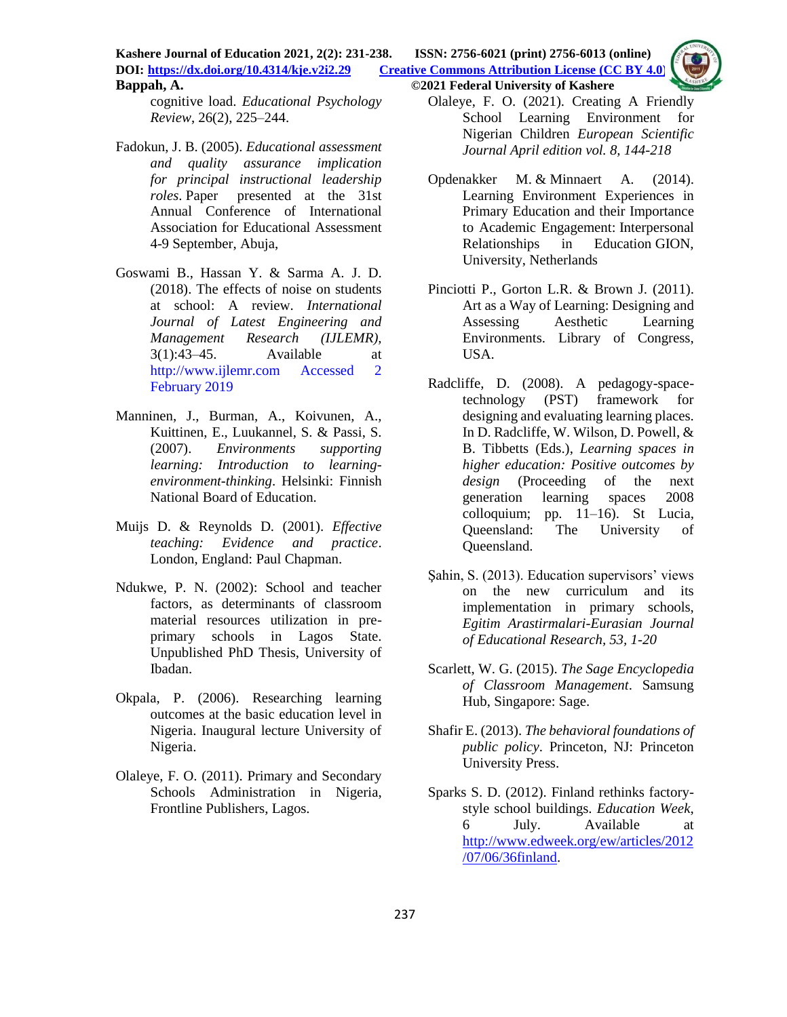**Kashere Journal of Education 2021, 2(2): 231-238. ISSN: 2756-6021 (print) 2756-6013 (online) DOI: <https://dx.doi.org/10.4314/kje.v2i2.29> [Creative Commons Attribution License](http://creativecommons.org/licenses/by/4.0/) (CC BY 4.0) Bappah, A. ©2021 Federal University of Kashere**

cognitive load. *Educational Psychology Review*, 26(2), 225–244.

- Fadokun, J. B. (2005). *Educational assessment and quality assurance implication for principal instructional leadership roles*. Paper presented at the 31st Annual Conference of International Association for Educational Assessment 4-9 September, Abuja,
- Goswami B., Hassan Y. & Sarma A. J. D. (2018). The effects of noise on students at school: A review. *International Journal of Latest Engineering and Management Research (IJLEMR),*  3(1):43–45. Available at http://www.ijlemr.com Accessed 2 February 2019
- Manninen, J., Burman, A., Koivunen, A., Kuittinen, E., Luukannel, S. & Passi, S. (2007). *Environments supporting learning: Introduction to learningenvironment-thinking*. Helsinki: Finnish National Board of Education.
- Muijs D. & Reynolds D. (2001). *Effective teaching: Evidence and practice*. London, England: Paul Chapman.
- Ndukwe, P. N. (2002): School and teacher factors, as determinants of classroom material resources utilization in preprimary schools in Lagos State. Unpublished PhD Thesis, University of Ibadan.
- Okpala, P. (2006). Researching learning outcomes at the basic education level in Nigeria. Inaugural lecture University of Nigeria.
- Olaleye, F. O. (2011). Primary and Secondary Schools Administration in Nigeria, Frontline Publishers, Lagos.

Olaleye, F. O. (2021). Creating A Friendly School Learning Environment for Nigerian Children *European Scientific Journal April edition vol. 8, 144-218*

- [Opdenakker](https://brill.com/search?f_0=author&q_0=Marie-Christine+Opdenakker) M. & [Minnaert](https://brill.com/search?f_0=author&q_0=Alexander+Minnaert) A. (2014). Learning Environment Experiences in Primary Education and their Importance to Academic Engagement: [Interpersonal](https://brill.com/view/title/37887)  [Relationships in Education](https://brill.com/view/title/37887) GION, University, Netherlands
- Pinciotti P., Gorton L.R. & Brown J. (2011). Art as a Way of Learning: Designing and Assessing Aesthetic Learning Environments. Library of Congress, USA.
- Radcliffe, D. (2008). A pedagogy-spacetechnology (PST) framework for designing and evaluating learning places. In D. Radcliffe, W. Wilson, D. Powell, & B. Tibbetts (Eds.), *Learning spaces in higher education: Positive outcomes by design* (Proceeding of the next generation learning spaces 2008 colloquium; pp. 11–16). St Lucia, Queensland: The University of Queensland.
- Şahin, S. (2013). Education supervisors' views on the new curriculum and its implementation in primary schools, *Egitim Arastirmalari-Eurasian Journal of Educational Research, 53, 1-20*
- Scarlett, W. G. (2015). *The Sage Encyclopedia of Classroom Management*. Samsung Hub, Singapore: Sage.
- Shafir E. (2013). *The behavioral foundations of public policy*. Princeton, NJ: Princeton University Press.
- Sparks S. D. (2012). Finland rethinks factorystyle school buildings. *Education Week*, 6 July. Available at [http://www.edweek.org/ew/articles/2012](http://www.edweek.org/ew/articles/2012/07/06/36finland) [/07/06/36finland.](http://www.edweek.org/ew/articles/2012/07/06/36finland)